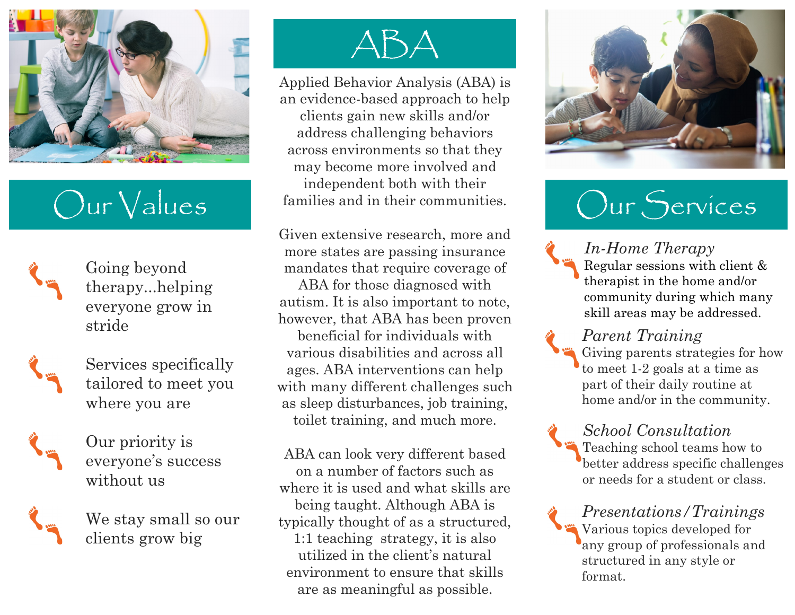

## Our Values

Going beyond therapy...helping everyone grow in stride



Services specifically tailored to meet you where you are



Our priority is everyone's success without us





Applied Behavior Analysis (ABA) is an evidence-based approach to help clients gain new skills and/or address challenging behaviors across environments so that they may become more involved and independent both with their families and in their communities.

Given extensive research, more and more states are passing insurance mandates that require coverage of ABA for those diagnosed with autism. It is also important to note, however, that ABA has been proven beneficial for individuals with various disabilities and across all ages. ABA interventions can help with many different challenges such as sleep disturbances, job training, toilet training, and much more.

ABA can look very different based on a number of factors such as where it is used and what skills are being taught. Although ABA is typically thought of as a structured, 1:1 teaching strategy, it is also utilized in the client's natural environment to ensure that skills are as meaningful as possible.



# Our Services

*In-Home Therapy* Regular sessions with client & therapist in the home and/or community during which many skill areas may be addressed.

#### *Parent Training*

Giving parents strategies for how to meet 1-2 goals at a time as part of their daily routine at home and/or in the community.

*School Consultation*

Teaching school teams how to better address specific challenges or needs for a student or class.

*Presentations/Trainings* Various topics developed for any group of professionals and structured in any style or format.